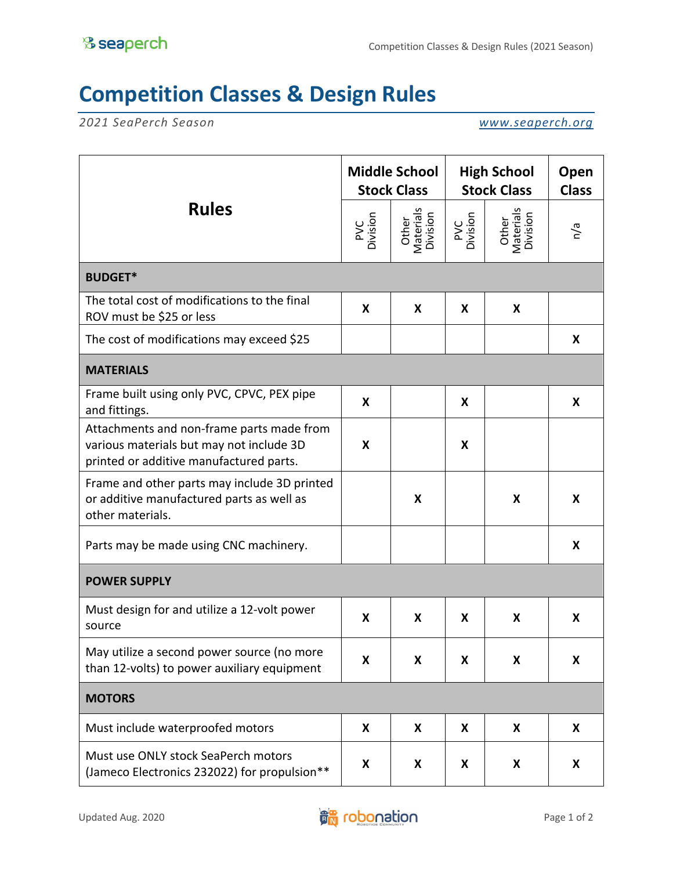## **Competition Classes & Design Rules**

*2021 SeaPerch Season www.seaperch.org*

| <b>Rules</b>                                                                                                                     | <b>Middle School</b><br><b>Stock Class</b> |                                | <b>High School</b><br><b>Stock Class</b> |                                | Open<br><b>Class</b> |  |  |  |
|----------------------------------------------------------------------------------------------------------------------------------|--------------------------------------------|--------------------------------|------------------------------------------|--------------------------------|----------------------|--|--|--|
|                                                                                                                                  | PVC<br>Division                            | Other<br>Materials<br>Division | PVC<br>Division                          | Other<br>Materials<br>Division | n/a                  |  |  |  |
| <b>BUDGET*</b>                                                                                                                   |                                            |                                |                                          |                                |                      |  |  |  |
| The total cost of modifications to the final<br>ROV must be \$25 or less                                                         | X                                          | X                              | X                                        | X                              |                      |  |  |  |
| The cost of modifications may exceed \$25                                                                                        |                                            |                                |                                          |                                | X                    |  |  |  |
| <b>MATERIALS</b>                                                                                                                 |                                            |                                |                                          |                                |                      |  |  |  |
| Frame built using only PVC, CPVC, PEX pipe<br>and fittings.                                                                      | X                                          |                                | X                                        |                                | X                    |  |  |  |
| Attachments and non-frame parts made from<br>various materials but may not include 3D<br>printed or additive manufactured parts. | X                                          |                                | X                                        |                                |                      |  |  |  |
| Frame and other parts may include 3D printed<br>or additive manufactured parts as well as<br>other materials.                    |                                            | X                              |                                          | X                              | X                    |  |  |  |
| Parts may be made using CNC machinery.                                                                                           |                                            |                                |                                          |                                | X                    |  |  |  |
| <b>POWER SUPPLY</b>                                                                                                              |                                            |                                |                                          |                                |                      |  |  |  |
| Must design for and utilize a 12-volt power<br>source                                                                            | X                                          | X                              | X                                        | X                              | X                    |  |  |  |
| May utilize a second power source (no more<br>than 12-volts) to power auxiliary equipment                                        | X                                          | X                              | X                                        | X                              | X                    |  |  |  |
| <b>MOTORS</b>                                                                                                                    |                                            |                                |                                          |                                |                      |  |  |  |
| Must include waterproofed motors                                                                                                 | X                                          | X                              | X                                        | X                              | X                    |  |  |  |
| Must use ONLY stock SeaPerch motors<br>(Jameco Electronics 232022) for propulsion**                                              | X                                          | X                              | X                                        | X                              | X                    |  |  |  |